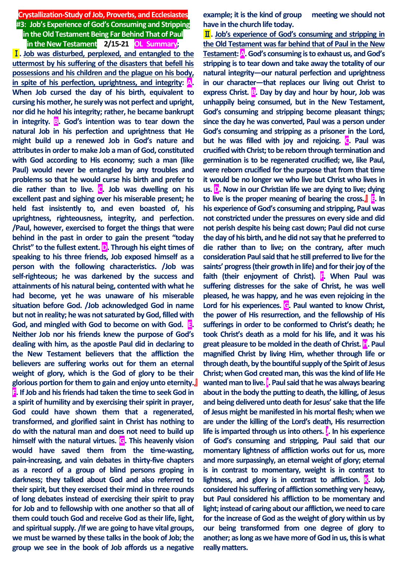**Crystallization-Study of Job, Proverbs, and Ecclesiastes #3: Job's Experience of God's Consuming and Stripping in the Old Testament Being Far Behind That of Paul**

**in the New Testament 2/15-21 OL Summary;**

Ⅰ**. Job was disturbed, perplexed, and entangled to the uttermost by his suffering of the disasters that befell his possessions and his children and the plague on his body, in spite of his perfection, uprightness, and integrity: A. When Job cursed the day of his birth, equivalent to cursing his mother, he surely was not perfect and upright, nor did he hold his integrity; rather, he became bankrupt in integrity. B. God's intention was to tear down the natural Job in his perfection and uprightness that He might build up a renewed Job in God's nature and attributes in order to make Job a man of God, constituted with God according to His economy; such a man (like Paul) would never be entangled by any troubles and problems so that he would curse his birth and prefer to die rather than to live. C. Job was dwelling on his excellent past and sighing over his miserable present; he held fast insistently to, and even boasted of, his uprightness, righteousness, integrity, and perfection. /Paul, however, exercised to forget the things that were behind in the past in order to gain the present "today Christ" to the fullest extent. D. Through his eight times of speaking to his three friends, Job exposed himself as a person with the following characteristics. /Job was self-righteous; he was darkened by the success and attainments of his natural being, contented with what he had become, yet he was unaware of his miserable situation before God. /Job acknowledged God in name but not in reality; he was not saturated by God, filled with God, and mingled with God to become on with God. E. Neither Job nor his friends knew the purpose of God's dealing with him, as the apostle Paul did in declaring to the New Testament believers that the affliction the believers are suffering works out for them an eternal weight of glory, which is the God of glory to be their glorious portion for them to gain and enjoy unto eternity.**』 **F. If Job and his friends had taken the time to seek God in a spirit of humility and by exercising their spirit in prayer, God could have shown them that a regenerated, transformed, and glorified saint in Christ has nothing to do with the natural man and does not need to build up himself with the natural virtues. G. This heavenly vision would have saved them from the time-wasting, pain-increasing, and vain debates in thirty-five chapters as a record of a group of blind persons groping in darkness; they talked about God and also referred to their spirit, but they exercised their mind in three rounds of long debates instead of exercising their spirit to pray for Job and to fellowship with one another so that all of them could touch God and receive God as their life, light, and spiritual supply. /If we are going to have vital groups, we must be warned by these talks in the book of Job; the group we see in the book of Job affords us a negative** 

**example; it is the kind of group meeting we should not have in the church life today.**

Ⅱ**. Job's experience of God's consuming and stripping in the Old Testament was far behind that of Paul in the New Testament: A. God's consuming is to exhaust us, and God's stripping is to tear down and take away the totality of our natural integrity—our natural perfection and uprightness in our character—that replaces our living out Christ to express Christ. B. Day by day and hour by hour, Job was unhappily being consumed, but in the New Testament, God's consuming and stripping become pleasant things; since the day he was converted, Paul was a person under God's consuming and stripping as a prisoner in the Lord,**  but he was filled with joy and rejoicing. **C**. Paul was **crucified with Christ; to be reborn through termination and germination is to be regenerated crucified; we, like Paul, were reborn crucified for the purpose that from that time it would be no longer we who live but Christ who lives in us. D. Now in our Christian life we are dying to live; dying to live is the proper meaning of bearing the cross.**』 **E. In his experience of God's consuming and stripping, Paul was not constricted under the pressures on every side and did not perish despite his being cast down; Paul did not curse the day of his birth, and he did not say that he preferred to die rather than to live; on the contrary, after much consideration Paul said that he still preferred to live for the saints' progress (their growth in life) and for their joy of the**  faith (their enjoyment of Christ). **F.** When Paul was **suffering distresses for the sake of Christ, he was well pleased, he was happy, and he was even rejoicing in the Lord for his experiences. G. Paul wanted to know Christ, the power of His resurrection, and the fellowship of His sufferings in order to be conformed to Christ's death; he took Christ's death as a mold for his life, and it was his great pleasure to be molded in the death of Christ. H. Paul magnified Christ by living Him, whether through life or through death, by the bountiful supply of the Spirit of Jesus Christ; when God created man, this was the kind of life He wanted man to live. I. Paul said that he was always bearing about in the body the putting to death, the killing, of Jesus and being delivered unto death for Jesus' sake that the life of Jesus might be manifested in his mortal flesh; when we are under the killing of the Lord's death, His resurrection life is imparted through us into others. J. In his experience of God's consuming and stripping, Paul said that our momentary lightness of affliction works out for us, more and more surpassingly, an eternal weight of glory; eternal is in contrast to momentary, weight is in contrast to lightness, and glory is in contrast to affliction. K. Job considered his suffering of affliction something very heavy, but Paul considered his affliction to be momentary and light; instead of caring about our affliction, we need to care for the increase of God as the weight of glory within us by our being transformed from one degree of glory to another; as long as we have more of God in us, this is what really matters.**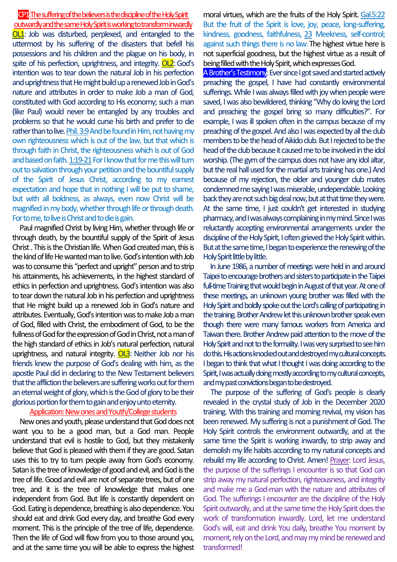### CP1:Thesuffering of the believers is the discipline of the Holy Spirit outwardly and the same Holy Spirit is working to transform inwardly

OL1: Job was disturbed, perplexed, and entangled to the uttermost by his suffering of the disasters that befell his possessions and his children and the plague on his body, in spite of his perfection, uprightness, and integrity. OL2: God's intention was to tear down the natural Job in his perfection and uprightness that He might build up a renewed Job in God's nature and attributes in order to make Job a man of God, constituted with God according to His economy; such a man (like Paul) would never be entangled by any troubles and problems so that he would curse his birth and prefer to die rather than to live. Phil. 3:9 And be found in Him, not having my own righteousness which is out of the law, but that which is through faith in Christ, the righteousness which is out of God and based on faith. 1:19-21 For I know that for me this will turn out to salvation through your petition and the bountiful supply of the Spirit of Jesus Christ, according to my earnest expectation and hope that in nothing I will be put to shame, but with all boldness, as always, even now Christ will be magnified in my body, whether through life or through death. For to me, to live is Christ and to die is gain.

Paul magnified Christ by living Him, whether through life or through death, by the bountiful supply of the Spirit of Jesus Christ .This is the Christian life. When God created man, this is the kind of life He wanted man to live.God's intention with Job was to consume this "perfect and upright" person and to strip his attainments, his achievements, in the highest standard of ethics in perfection and uprightness. God's intention was also to tear down the natural Job in his perfection and uprightness that He might build up a renewed Job in God's nature and attributes. Eventually, God's intention was to make Job a man of God, filled with Christ, the embodiment of God, to be the fullness of God for the expression of God in Christ, not a man of the high standard of ethics in Job's natural perfection, natural uprightness, and natural integrity. OL3: Neither Job nor his friends knew the purpose of God's dealing with him, as the apostle Paul did in declaring to the New Testament believers that the affliction the believers are suffering works out for them an eternal weight of glory, which is the God of glory to be their glorious portion for themto gain and enjoy unto eternity.

#### Application: New ones and Youth/College students

New ones and youth, please understand that God does not want you to be a good man, but a God man. People understand that evil is hostile to God, but they mistakenly believe that God is pleased with them if they are good. Satan uses this to try to turn people away from God's economy. Satan is the tree of knowledge of good and evil, and God is the tree of life. Good and evil are not of separate trees, but of one tree, and it is the tree of knowledge that makes one independent from God. But life is constantly dependent on God. Eating is dependence, breathing is also dependence. You should eat and drink God every day, and breathe God every moment. This is the principle of the tree of life, dependence. Then the life of God will flow from you to those around you, and at the same time you will be able to express the highest moral virtues, which are the fruits of the Holy Spirit. Gal.5:22 But the fruit of the Spirit is love, joy, peace, long-suffering, kindness, goodness, faithfulness, 23 Meekness, self-control; against such things there is no law. The highest virtue here is not superficial goodness, but the highest virtue as a result of being filled with the Holy Spirit, which expresses God.

A Brother's Testimony: Ever since I got saved and started actively preaching the gospel, I have had constantly environmental sufferings. While I was always filled with joy when people were saved, I was also bewildered, thinking "Why do loving the Lord and preaching the gospel bring so many difficulties?". For example, I was ill spoken often in the campus because of my preaching of the gospel. And also I was expected by all the club members to be the head of Aikido club. But I rejected to be the head of the club because it caused me to be involved in the idol worship. (The gym of the campus does not have any idol altar, but the real hall used for the martial arts training has one.) And because of my rejection, the older and younger club mates condemned me saying I was miserable, undependable.Looking back they are not such big deal now, but at that time they were. At the same time, I just couldn't get interested in studying pharmacy, and I was always complaining in my mind. Since I was reluctantly accepting environmental arrangements under the discipline of the Holy Spirit, I often grieved the Holy Spirit within. But at the same time, I began to experience the renewing of the Holy Spirit little by little.

In June 1986, a number of meetings were held in and around Taipei to encourage brothers and sisters to participate in the Taipei full-time Training that would begin in August of that year. At one of these meetings, an unknown young brother was filled with the Holy Spirit and boldly spoke out the Lord's calling of participating in the training. Brother Andrew let this unknown brother speak even though there were many famous workers from America and Taiwan there. Brother Andrew paid attention to the move of the Holy Spirit and not to the formality. I was very surprised to see him do this. His actions knocked out and destroyed my cultural concepts. I began to think that what I thought I was doing according to the Spirit, I was actually doing mostly according to my cultural concepts, and my past convictions began to be destroyed.

The purpose of the suffering of God's people is clearly revealed in the crystal study of Job in the December 2020 training. With this training and morning revival, my vision has been renewed. My suffering is not a punishment of God. The Holy Spirit controls the environment outwardly, and at the same time the Spirit is working inwardly, to strip away and demolish my life habits according to my natural concepts and rebuild my life according to Christ. Amen! Prayer: Lord Jesus, the purpose of the sufferings I encounter is so that God can strip away my natural perfection, righteousness, and integrity and make me a God-man with the nature and attributes of God. The sufferings I encounter are the discipline of the Holy Spirit outwardly, and at the same time the Holy Spirit does the work of transformation inwardly. Lord, let me understand God's will, eat and drink You daily, breathe You moment by moment, rely on the Lord, and may my mind be renewed and transformed!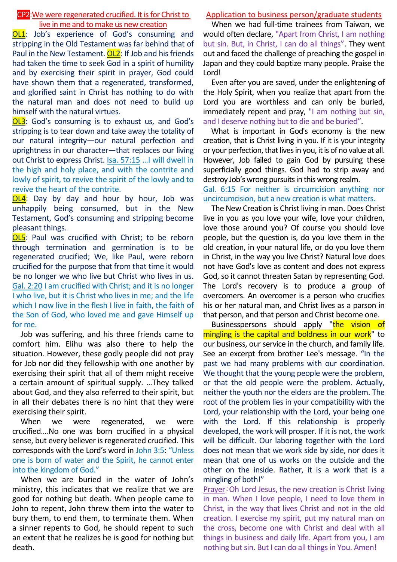### CP2:We were regenerated crucified. It is for Christ to live in me and to make us new creation

OL1: Job's experience of God's consuming and stripping in the Old Testament was far behind that of Paul in the New Testament. OL2: If Job and his friends had taken the time to seek God in a spirit of humility and by exercising their spirit in prayer, God could have shown them that a regenerated, transformed, and glorified saint in Christ has nothing to do with the natural man and does not need to build up himself with the natural virtues.

OL3: God's consuming is to exhaust us, and God's stripping is to tear down and take away the totality of our natural integrity—our natural perfection and uprightness in our character—that replaces our living out Christ to express Christ. Isa. 57:15 …I will dwell in the high and holy place, and with the contrite and lowly of spirit, to revive the spirit of the lowly and to revive the heart of the contrite.

**OL4:** Day by day and hour by hour, Job was unhappily being consumed, but in the New Testament, God's consuming and stripping become pleasant things.

OL5: Paul was crucified with Christ; to be reborn through termination and germination is to be regenerated crucified; We, like Paul, were reborn crucified for the purpose that from that time it would be no longer we who live but Christ who lives in us. Gal. 2:20 I am crucified with Christ; and it is no longer I who live, but it is Christ who lives in me; and the life which I now live in the flesh I live in faith, the faith of the Son of God, who loved me and gave Himself up for me.

Job was suffering, and his three friends came to comfort him. Elihu was also there to help the situation. However, these godly people did not pray for Job nor did they fellowship with one another by exercising their spirit that all of them might receive a certain amount of spiritual supply. …They talked about God, and they also referred to their spirit, but in all their debates there is no hint that they were exercising their spirit.

When we were regenerated, we were crucified….No one was born crucified in a physical sense, but every believer is regenerated crucified. This corresponds with the Lord's word in John 3:5: "Unless one is born of water and the Spirit, he cannot enter into the kingdom of God."

When we are buried in the water of John's ministry, this indicates that we realize that we are good for nothing but death. When people came to John to repent, John threw them into the water to bury them, to end them, to terminate them. When a sinner repents to God, he should repent to such an extent that he realizes he is good for nothing but death.

## Application to business person/graduate students

When we had full-time trainees from Taiwan, we would often declare, "Apart from Christ, I am nothing but sin. But, in Christ, I can do all things". They went out and faced the challenge of preaching the gospel in Japan and they could baptize many people. Praise the Lord!

Even after you are saved, under the enlightening of the Holy Spirit, when you realize that apart from the Lord you are worthless and can only be buried, immediately repent and pray, "I am nothing but sin, and I deserve nothing but to die and be buried".

What is important in God's economy is the new creation, that is Christ living in you. If it is your integrity or your perfection, that livesin you, it is of no value at all. However, Job failed to gain God by pursuing these superficially good things. God had to strip away and destroy Job's wrong pursuits in this wrong realm.

Gal. 6:15 For neither is circumcision anything nor uncircumcision, but a new creation is what matters.

The New Creation is Christ living in man. Does Christ live in you as you love your wife, love your children, love those around you? Of course you should love people, but the question is, do you love them in the old creation, in your natural life, or do you love them in Christ, in the way you live Christ? Natural love does not have God's love as content and does not express God, so it cannot threaten Satan by representing God. The Lord's recovery is to produce a group of overcomers. An overcomer is a person who crucifies his or her natural man, and Christ lives as a parson in that person, and that person and Christ become one.

Businesspersons should apply "the vision of mingling is the capital and boldness in our work" to our business, our service in the church, and family life. See an excerpt from brother Lee's message. "In the past we had many problems with our coordination. We thought that the young people were the problem, or that the old people were the problem. Actually, neither the youth nor the elders are the problem. The root of the problem lies in your compatibility with the Lord, your relationship with the Lord, your being one with the Lord. If this relationship is properly developed, the work will prosper. If it is not, the work will be difficult. Our laboring together with the Lord does not mean that we work side by side, nor does it mean that one of us works on the outside and the other on the inside. Rather, it is a work that is a mingling of both!"

Prayer:Oh Lord Jesus, the new creation is Christ living in man. When I love people, I need to love them in Christ, in the way that lives Christ and not in the old creation. I exercise my spirit, put my natural man on the cross, become one with Christ and deal with all things in business and daily life. Apart from you, I am nothing but sin. But I can do all things in You. Amen!